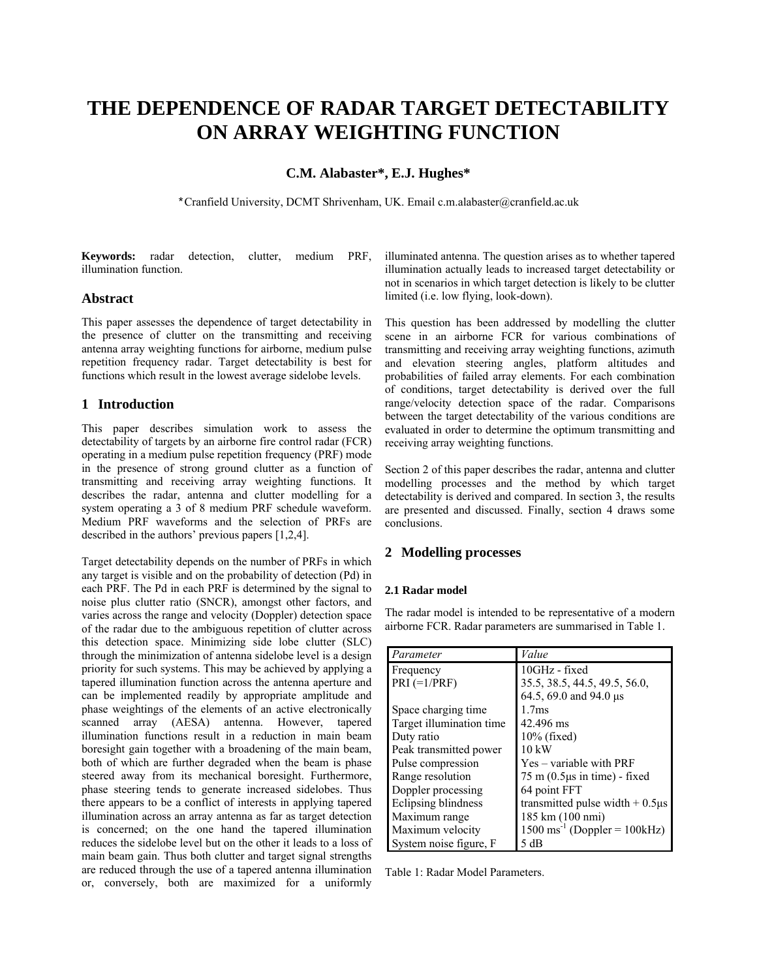# **THE DEPENDENCE OF RADAR TARGET DETECTABILITY ON ARRAY WEIGHTING FUNCTION**

**C.M. Alabaster\*, E.J. Hughes\*** 

\*Cranfield University, DCMT Shrivenham, UK. Email c.m.alabaster@cranfield.ac.uk

**Keywords:** radar detection, clutter, medium PRF, illumination function.

# **Abstract**

This paper assesses the dependence of target detectability in the presence of clutter on the transmitting and receiving antenna array weighting functions for airborne, medium pulse repetition frequency radar. Target detectability is best for functions which result in the lowest average sidelobe levels.

# **1 Introduction**

This paper describes simulation work to assess the detectability of targets by an airborne fire control radar (FCR) operating in a medium pulse repetition frequency (PRF) mode in the presence of strong ground clutter as a function of transmitting and receiving array weighting functions. It describes the radar, antenna and clutter modelling for a system operating a 3 of 8 medium PRF schedule waveform. Medium PRF waveforms and the selection of PRFs are described in the authors' previous papers [1,2,4].

Target detectability depends on the number of PRFs in which any target is visible and on the probability of detection (Pd) in each PRF. The Pd in each PRF is determined by the signal to noise plus clutter ratio (SNCR), amongst other factors, and varies across the range and velocity (Doppler) detection space of the radar due to the ambiguous repetition of clutter across this detection space. Minimizing side lobe clutter (SLC) through the minimization of antenna sidelobe level is a design priority for such systems. This may be achieved by applying a tapered illumination function across the antenna aperture and can be implemented readily by appropriate amplitude and phase weightings of the elements of an active electronically scanned array (AESA) antenna. However, tapered illumination functions result in a reduction in main beam boresight gain together with a broadening of the main beam, both of which are further degraded when the beam is phase steered away from its mechanical boresight. Furthermore, phase steering tends to generate increased sidelobes. Thus there appears to be a conflict of interests in applying tapered illumination across an array antenna as far as target detection is concerned; on the one hand the tapered illumination reduces the sidelobe level but on the other it leads to a loss of main beam gain. Thus both clutter and target signal strengths are reduced through the use of a tapered antenna illumination or, conversely, both are maximized for a uniformly

illuminated antenna. The question arises as to whether tapered illumination actually leads to increased target detectability or not in scenarios in which target detection is likely to be clutter limited (i.e. low flying, look-down).

This question has been addressed by modelling the clutter scene in an airborne FCR for various combinations of transmitting and receiving array weighting functions, azimuth and elevation steering angles, platform altitudes and probabilities of failed array elements. For each combination of conditions, target detectability is derived over the full range/velocity detection space of the radar. Comparisons between the target detectability of the various conditions are evaluated in order to determine the optimum transmitting and receiving array weighting functions.

Section 2 of this paper describes the radar, antenna and clutter modelling processes and the method by which target detectability is derived and compared. In section 3, the results are presented and discussed. Finally, section 4 draws some conclusions.

# **2 Modelling processes**

#### **2.1 Radar model**

The radar model is intended to be representative of a modern airborne FCR. Radar parameters are summarised in Table 1.

| Parameter                | Value                                                |
|--------------------------|------------------------------------------------------|
| Frequency                | 10GHz - fixed                                        |
| $PRI (=1/PRF)$           | 35.5, 38.5, 44.5, 49.5, 56.0,                        |
|                          | 64.5, 69.0 and 94.0 $\mu$ s                          |
| Space charging time      | 1.7 <sub>ms</sub>                                    |
| Target illumination time | 42.496 ms                                            |
| Duty ratio               | $10\%$ (fixed)                                       |
| Peak transmitted power   | $10 \text{ kW}$                                      |
| Pulse compression        | Yes – variable with PRF                              |
| Range resolution         | $75 \text{ m}$ (0.5 $\mu$ s in time) - fixed         |
| Doppler processing       | 64 point FFT                                         |
| Eclipsing blindness      | transmitted pulse width $+ 0.5 \mu s$                |
| Maximum range            | 185 km (100 nmi)                                     |
| Maximum velocity         | $1500 \text{ ms}^{-1}$ (Doppler = $100 \text{kHz}$ ) |
| System noise figure, F   | 5 dB                                                 |

Table 1: Radar Model Parameters.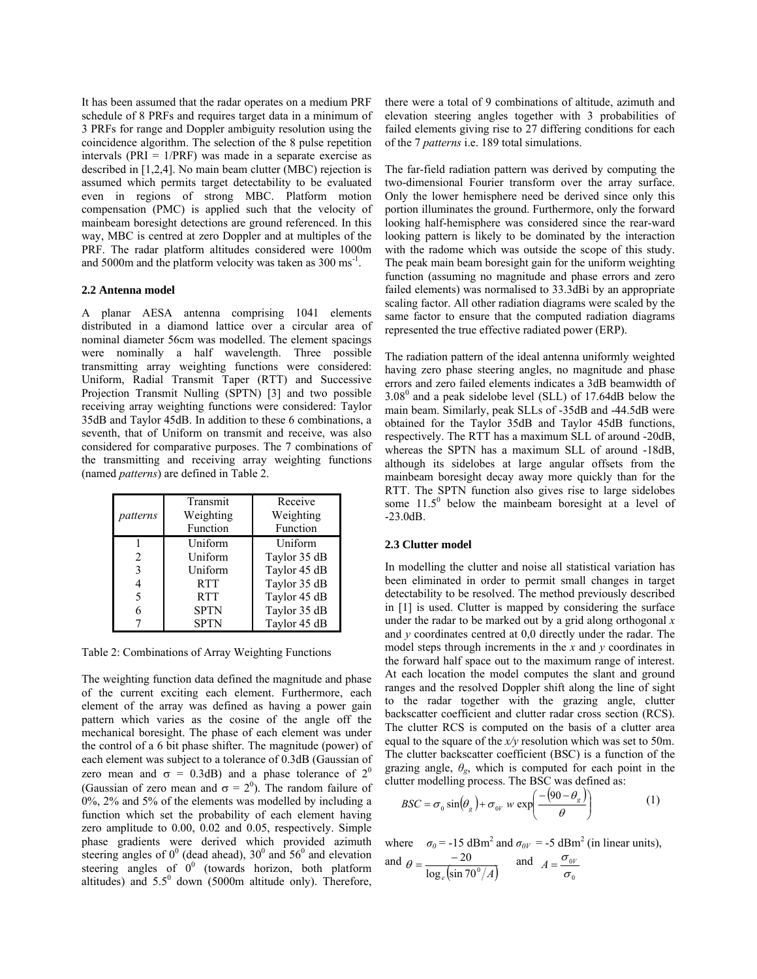It has been assumed that the radar operates on a medium PRF schedule of 8 PRFs and requires target data in a minimum of 3 PRFs for range and Doppler ambiguity resolution using the coincidence algorithm. The selection of the 8 pulse repetition intervals ( $PRI = 1/PRF$ ) was made in a separate exercise as described in [1,2,4]. No main beam clutter (MBC) rejection is assumed which permits target detectability to be evaluated even in regions of strong MBC. Platform motion compensation (PMC) is applied such that the velocity of mainbeam boresight detections are ground referenced. In this way, MBC is centred at zero Doppler and at multiples of the PRF. The radar platform altitudes considered were 1000m and 5000m and the platform velocity was taken as 300 ms<sup>-1</sup>.

#### **2.2 Antenna model**

A planar AESA antenna comprising 1041 elements distributed in a diamond lattice over a circular area of nominal diameter 56cm was modelled. The element spacings were nominally a half wavelength. Three possible transmitting array weighting functions were considered: Uniform, Radial Transmit Taper (RTT) and Successive Projection Transmit Nulling (SPTN) [3] and two possible receiving array weighting functions were considered: Taylor 35dB and Taylor 45dB. In addition to these 6 combinations, a seventh, that of Uniform on transmit and receive, was also considered for comparative purposes. The 7 combinations of the transmitting and receiving array weighting functions (named *patterns*) are defined in Table 2.

| patterns       | Transmit<br>Weighting<br>Function | Receive<br>Weighting<br>Function |  |  |
|----------------|-----------------------------------|----------------------------------|--|--|
|                | Uniform                           | Uniform                          |  |  |
| $\mathfrak{D}$ | Uniform                           | Taylor 35 dB                     |  |  |
| 3              | Uniform                           | Taylor 45 dB                     |  |  |
|                | <b>RTT</b>                        | Taylor 35 dB                     |  |  |
| 5              | <b>RTT</b>                        | Taylor 45 dB                     |  |  |
| 6              | <b>SPTN</b>                       | Taylor 35 dB                     |  |  |
|                | SPTN                              | Taylor 45 dB                     |  |  |

Table 2: Combinations of Array Weighting Functions

The weighting function data defined the magnitude and phase of the current exciting each element. Furthermore, each element of the array was defined as having a power gain pattern which varies as the cosine of the angle off the mechanical boresight. The phase of each element was under the control of a 6 bit phase shifter. The magnitude (power) of each element was subject to a tolerance of 0.3dB (Gaussian of zero mean and  $\sigma = 0.3$ dB) and a phase tolerance of  $2^0$ (Gaussian of zero mean and  $\sigma = 2^0$ ). The random failure of 0%, 2% and 5% of the elements was modelled by including a function which set the probability of each element having zero amplitude to 0.00, 0.02 and 0.05, respectively. Simple phase gradients were derived which provided azimuth steering angles of  $0^0$  (dead ahead),  $30^0$  and  $56^0$  and elevation steering angles of  $0^0$  (towards horizon, both platform altitudes) and  $5.5^{\circ}$  down (5000m altitude only). Therefore,

there were a total of 9 combinations of altitude, azimuth and elevation steering angles together with 3 probabilities of failed elements giving rise to 27 differing conditions for each of the 7 *patterns* i.e. 189 total simulations.

The far-field radiation pattern was derived by computing the two-dimensional Fourier transform over the array surface. Only the lower hemisphere need be derived since only this portion illuminates the ground. Furthermore, only the forward looking half-hemisphere was considered since the rear-ward looking pattern is likely to be dominated by the interaction with the radome which was outside the scope of this study. The peak main beam boresight gain for the uniform weighting function (assuming no magnitude and phase errors and zero failed elements) was normalised to 33.3dBi by an appropriate scaling factor. All other radiation diagrams were scaled by the same factor to ensure that the computed radiation diagrams represented the true effective radiated power (ERP).

The radiation pattern of the ideal antenna uniformly weighted having zero phase steering angles, no magnitude and phase errors and zero failed elements indicates a 3dB beamwidth of  $3.08<sup>0</sup>$  and a peak sidelobe level (SLL) of 17.64dB below the main beam. Similarly, peak SLLs of -35dB and -44.5dB were obtained for the Taylor 35dB and Taylor 45dB functions, respectively. The RTT has a maximum SLL of around -20dB, whereas the SPTN has a maximum SLL of around -18dB, although its sidelobes at large angular offsets from the mainbeam boresight decay away more quickly than for the RTT. The SPTN function also gives rise to large sidelobes some  $11.5^{\circ}$  below the mainbeam boresight at a level of -23.0dB.

#### **2.3 Clutter model**

In modelling the clutter and noise all statistical variation has been eliminated in order to permit small changes in target detectability to be resolved. The method previously described in [1] is used. Clutter is mapped by considering the surface under the radar to be marked out by a grid along orthogonal *x* and *y* coordinates centred at 0,0 directly under the radar. The model steps through increments in the *x* and *y* coordinates in the forward half space out to the maximum range of interest. At each location the model computes the slant and ground ranges and the resolved Doppler shift along the line of sight to the radar together with the grazing angle, clutter backscatter coefficient and clutter radar cross section (RCS). The clutter RCS is computed on the basis of a clutter area equal to the square of the *x/y* resolution which was set to 50m. The clutter backscatter coefficient (BSC) is a function of the grazing angle,  $\theta_g$ , which is computed for each point in the clutter modelling process. The BSC was defined as:

$$
BSC = \sigma_0 \sin(\theta_g) + \sigma_{0V} w \exp\left(\frac{-(90 - \theta_g)}{\theta}\right)
$$
 (1)

where  $\sigma_0 = -15 \text{ dBm}^2$  and  $\sigma_{0V} = -5 \text{ dBm}^2$  (in linear units),

and 
$$
\theta = \frac{-20}{\log_e(\sin 70^\circ/A)}
$$
 and  $A = \frac{\sigma_{0v}}{\sigma_0}$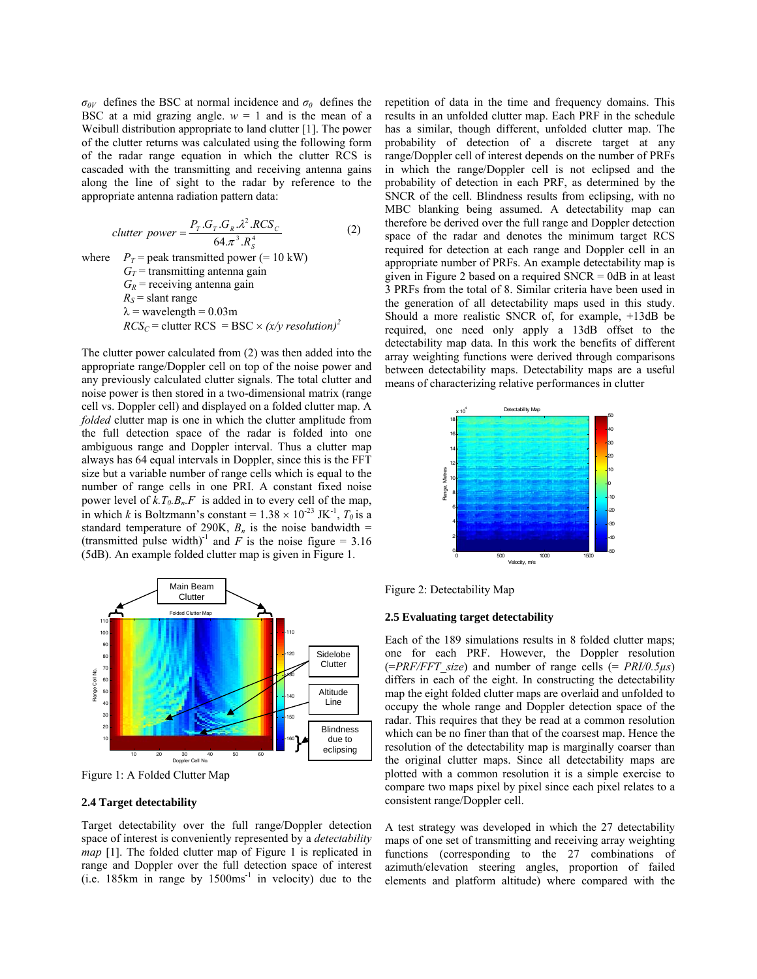$\sigma_{0V}$  defines the BSC at normal incidence and  $\sigma_0$  defines the BSC at a mid grazing angle.  $w = 1$  and is the mean of a Weibull distribution appropriate to land clutter [1]. The power of the clutter returns was calculated using the following form of the radar range equation in which the clutter RCS is cascaded with the transmitting and receiving antenna gains along the line of sight to the radar by reference to the appropriate antenna radiation pattern data:

$$
clutter power = \frac{P_T . G_T . G_R . \lambda^2 . RCS_C}{64. \pi^3 . R_s^4}
$$
 (2)

where  $P_T$  = peak transmitted power (= 10 kW)  $G_T$  = transmitting antenna gain  $G_R$  = receiving antenna gain  $R_S$  = slant range  $\lambda$  = wavelength = 0.03m  $RCS_C$  = clutter RCS = BSC ×  $(x/y \text{ resolution})^2$ 

The clutter power calculated from (2) was then added into the appropriate range/Doppler cell on top of the noise power and any previously calculated clutter signals. The total clutter and noise power is then stored in a two-dimensional matrix (range cell vs. Doppler cell) and displayed on a folded clutter map. A *folded* clutter map is one in which the clutter amplitude from the full detection space of the radar is folded into one ambiguous range and Doppler interval. Thus a clutter map always has 64 equal intervals in Doppler, since this is the FFT size but a variable number of range cells which is equal to the number of range cells in one PRI. A constant fixed noise power level of  $k.T_0.B_n.F$  is added in to every cell of the map, in which *k* is Boltzmann's constant =  $1.38 \times 10^{-23}$  JK<sup>-1</sup>,  $T_0$  is a standard temperature of 290K,  $B_n$  is the noise bandwidth = (transmitted pulse width)<sup>-1</sup> and  $\overrightarrow{F}$  is the noise figure = 3.16 (5dB). An example folded clutter map is given in Figure 1.



Figure 1: A Folded Clutter Map

#### **2.4 Target detectability**

Target detectability over the full range/Doppler detection space of interest is conveniently represented by a *detectability map* [1]. The folded clutter map of Figure 1 is replicated in range and Doppler over the full detection space of interest  $(i.e. 185km)$  in range by  $1500ms<sup>-1</sup>$  in velocity) due to the repetition of data in the time and frequency domains. This results in an unfolded clutter map. Each PRF in the schedule has a similar, though different, unfolded clutter map. The probability of detection of a discrete target at any range/Doppler cell of interest depends on the number of PRFs in which the range/Doppler cell is not eclipsed and the probability of detection in each PRF, as determined by the SNCR of the cell. Blindness results from eclipsing, with no MBC blanking being assumed. A detectability map can therefore be derived over the full range and Doppler detection space of the radar and denotes the minimum target RCS required for detection at each range and Doppler cell in an appropriate number of PRFs. An example detectability map is given in Figure 2 based on a required SNCR = 0dB in at least 3 PRFs from the total of 8. Similar criteria have been used in the generation of all detectability maps used in this study. Should a more realistic SNCR of, for example, +13dB be required, one need only apply a 13dB offset to the detectability map data. In this work the benefits of different array weighting functions were derived through comparisons between detectability maps. Detectability maps are a useful means of characterizing relative performances in clutter



Figure 2: Detectability Map

#### **2.5 Evaluating target detectability**

Each of the 189 simulations results in 8 folded clutter maps; one for each PRF. However, the Doppler resolution  $(=PRF/FFT\ size)$  and number of range cells  $(= PRI/0.5\mu s)$ differs in each of the eight. In constructing the detectability map the eight folded clutter maps are overlaid and unfolded to occupy the whole range and Doppler detection space of the radar. This requires that they be read at a common resolution which can be no finer than that of the coarsest map. Hence the resolution of the detectability map is marginally coarser than the original clutter maps. Since all detectability maps are plotted with a common resolution it is a simple exercise to compare two maps pixel by pixel since each pixel relates to a consistent range/Doppler cell.

A test strategy was developed in which the 27 detectability maps of one set of transmitting and receiving array weighting functions (corresponding to the 27 combinations of azimuth/elevation steering angles, proportion of failed elements and platform altitude) where compared with the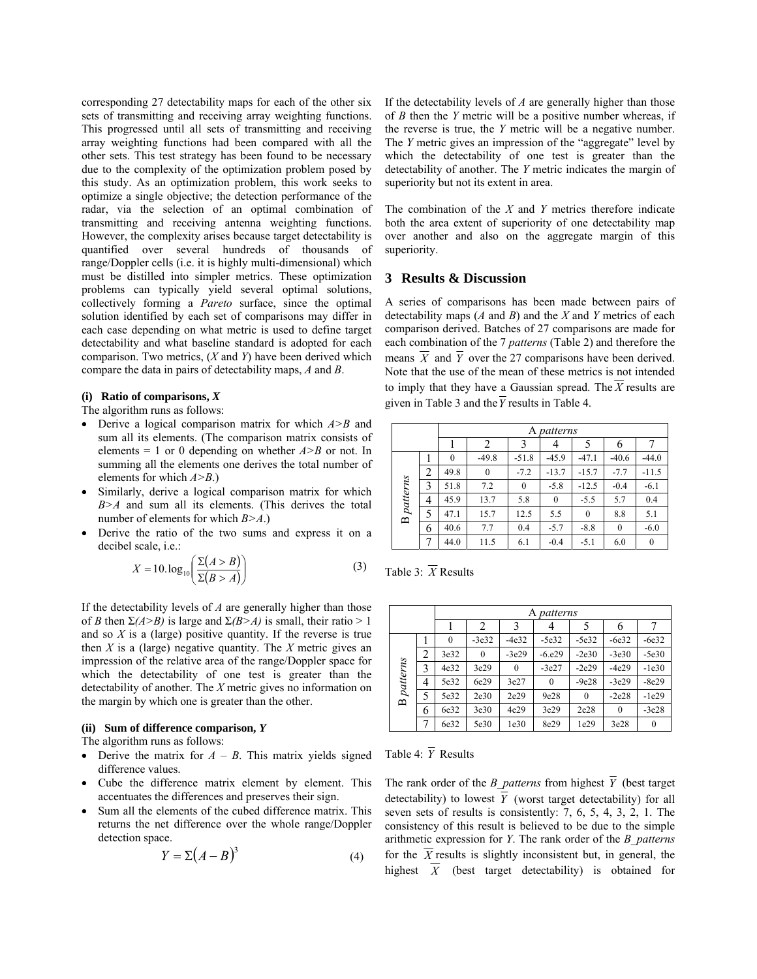corresponding 27 detectability maps for each of the other six sets of transmitting and receiving array weighting functions. This progressed until all sets of transmitting and receiving array weighting functions had been compared with all the other sets. This test strategy has been found to be necessary due to the complexity of the optimization problem posed by this study. As an optimization problem, this work seeks to optimize a single objective; the detection performance of the radar, via the selection of an optimal combination of transmitting and receiving antenna weighting functions. However, the complexity arises because target detectability is quantified over several hundreds of thousands of range/Doppler cells (i.e. it is highly multi-dimensional) which must be distilled into simpler metrics. These optimization problems can typically yield several optimal solutions, collectively forming a *Pareto* surface, since the optimal solution identified by each set of comparisons may differ in each case depending on what metric is used to define target detectability and what baseline standard is adopted for each comparison. Two metrics, (*X* and *Y*) have been derived which compare the data in pairs of detectability maps, *A* and *B*.

#### **(i) Ratio of comparisons,** *X*

The algorithm runs as follows:

- Derive a logical comparison matrix for which *A>B* and sum all its elements. (The comparison matrix consists of elements = 1 or 0 depending on whether  $A > B$  or not. In summing all the elements one derives the total number of elements for which *A>B*.)
- Similarly, derive a logical comparison matrix for which *B>A* and sum all its elements. (This derives the total number of elements for which *B>A*.)
- Derive the ratio of the two sums and express it on a decibel scale, i.e.:

$$
X = 10 \log_{10} \left( \frac{\Sigma(A > B)}{\Sigma(B > A)} \right) \tag{3}
$$

If the detectability levels of *A* are generally higher than those of *B* then  $\Sigma(A > B)$  is large and  $\Sigma(B > A)$  is small, their ratio > 1 and so *X* is a (large) positive quantity. If the reverse is true then *X* is a (large) negative quantity. The *X* metric gives an impression of the relative area of the range/Doppler space for which the detectability of one test is greater than the detectability of another. The *X* metric gives no information on the margin by which one is greater than the other.

#### **(ii) Sum of difference comparison,** *Y*

The algorithm runs as follows:

- Derive the matrix for  $A B$ . This matrix yields signed difference values.
- Cube the difference matrix element by element. This accentuates the differences and preserves their sign.
- Sum all the elements of the cubed difference matrix. This returns the net difference over the whole range/Doppler detection space.

$$
Y = \Sigma (A - B)^3 \tag{4}
$$

If the detectability levels of *A* are generally higher than those of *B* then the *Y* metric will be a positive number whereas, if the reverse is true, the *Y* metric will be a negative number. The *Y* metric gives an impression of the "aggregate" level by which the detectability of one test is greater than the detectability of another. The *Y* metric indicates the margin of superiority but not its extent in area.

The combination of the *X* and *Y* metrics therefore indicate both the area extent of superiority of one detectability map over another and also on the aggregate margin of this superiority.

## **3 Results & Discussion**

A series of comparisons has been made between pairs of detectability maps (*A* and *B*) and the *X* and *Y* metrics of each comparison derived. Batches of 27 comparisons are made for each combination of the 7 *patterns* (Table 2) and therefore the means  $\overline{X}$  and  $\overline{Y}$  over the 27 comparisons have been derived. Note that the use of the mean of these metrics is not intended to imply that they have a Gaussian spread. The  $\overline{X}$  results are given in Table 3 and the  $\overline{Y}$  results in Table 4.

|                   |   | patterns<br>А |          |         |          |          |          |                  |
|-------------------|---|---------------|----------|---------|----------|----------|----------|------------------|
|                   |   |               | 2        | 3       |          |          | h        |                  |
|                   |   | $\theta$      | $-49.8$  | $-51.8$ | $-45.9$  | $-47.1$  | $-40.6$  | $-44.0$          |
|                   | 2 | 49.8          | $\bf{0}$ | $-7.2$  | $-13.7$  | $-15.7$  | $-7.7$   | $-11.5$          |
| patterns          | 3 | 51.8          | 7.2      | 0       | $-5.8$   | $-12.5$  | $-0.4$   | $-6.1$           |
|                   | 4 | 45.9          | 13.7     | 5.8     | $\theta$ | $-5.5$   | 5.7      | 0.4              |
| $\mathbf{\Omega}$ | 5 | 47.1          | 15.7     | 12.5    | 5.5      | $\theta$ | 8.8      | 5.1              |
|                   | 6 | 40.6          | 7.7      | 0.4     | $-5.7$   | $-8.8$   | $\theta$ | $-6.0$           |
|                   | 7 | 44.0          | 11.5     | 6.1     | $-0.4$   | $-5.1$   | 6.0      | $\boldsymbol{0}$ |

Table 3: *X* Results

|                   |                | A patterns |                |          |           |          |         |         |
|-------------------|----------------|------------|----------------|----------|-----------|----------|---------|---------|
|                   |                |            | $\overline{2}$ | 3        |           | 5        |         |         |
| <b>B</b> patterns |                | $\theta$   | $-3e32$        | $-4e32$  | $-5e32$   | $-5e32$  | $-6e32$ | $-6e32$ |
|                   | $\overline{c}$ | 3e32       | $\theta$       | $-3e29$  | $-6. e29$ | $-2e30$  | $-3e30$ | $-5e30$ |
|                   | 3              | 4e32       | 3e29           | $\theta$ | $-3e27$   | $-2e29$  | $-4e29$ | $-1e30$ |
|                   | 4              | 5e32       | 6e29           | 3e27     | $\theta$  | $-9e28$  | $-3e29$ | $-8e29$ |
|                   | 5              | 5e32       | 2e30           | 2e29     | 9e28      | $\theta$ | $-2e28$ | $-1e29$ |
|                   | 6              | 6e32       | 3e30           | 4e29     | 3e29      | 2e28     | 0       | $-3e28$ |
|                   |                | 6e32       | 5e30           | 1e30     | 8e29      | 1e29     | 3e28    | 0       |

Table 4: *Y* Results

The rank order of the *B\_patterns* from highest  $\overline{Y}$  (best target detectability) to lowest  $\overline{Y}$  (worst target detectability) for all seven sets of results is consistently: 7, 6, 5, 4, 3, 2, 1. The consistency of this result is believed to be due to the simple arithmetic expression for *Y*. The rank order of the *B\_patterns* for the  $\overline{X}$  results is slightly inconsistent but, in general, the highest  $\overline{X}$  (best target detectability) is obtained for